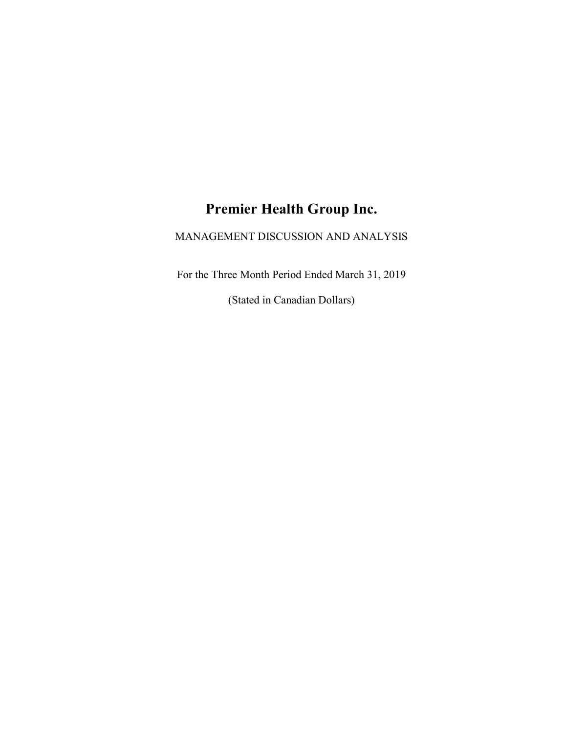# Premier Health Group Inc.

# MANAGEMENT DISCUSSION AND ANALYSIS

For the Three Month Period Ended March 31, 2019

(Stated in Canadian Dollars)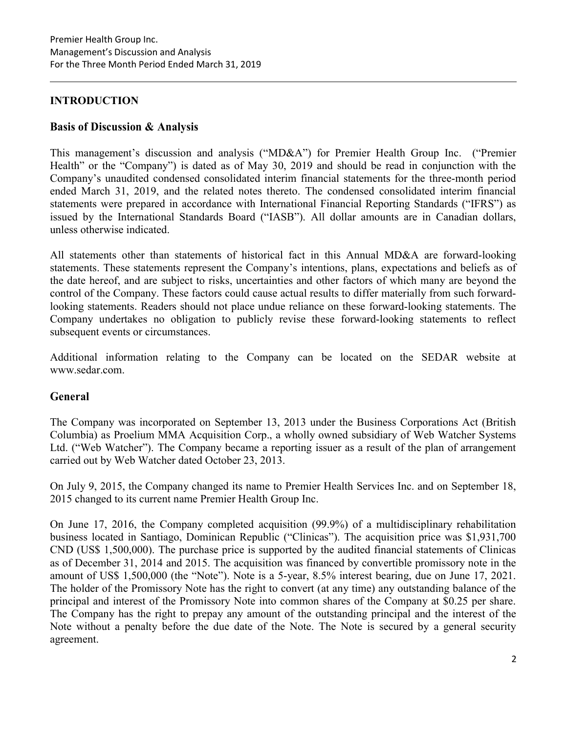# INTRODUCTION

# Basis of Discussion & Analysis

This management's discussion and analysis ("MD&A") for Premier Health Group Inc. ("Premier Health" or the "Company") is dated as of May 30, 2019 and should be read in conjunction with the Company's unaudited condensed consolidated interim financial statements for the three-month period ended March 31, 2019, and the related notes thereto. The condensed consolidated interim financial statements were prepared in accordance with International Financial Reporting Standards ("IFRS") as issued by the International Standards Board ("IASB"). All dollar amounts are in Canadian dollars, unless otherwise indicated.

All statements other than statements of historical fact in this Annual MD&A are forward-looking statements. These statements represent the Company's intentions, plans, expectations and beliefs as of the date hereof, and are subject to risks, uncertainties and other factors of which many are beyond the control of the Company. These factors could cause actual results to differ materially from such forwardlooking statements. Readers should not place undue reliance on these forward-looking statements. The Company undertakes no obligation to publicly revise these forward-looking statements to reflect subsequent events or circumstances.

Additional information relating to the Company can be located on the SEDAR website at www.sedar.com.

# General

The Company was incorporated on September 13, 2013 under the Business Corporations Act (British Columbia) as Proelium MMA Acquisition Corp., a wholly owned subsidiary of Web Watcher Systems Ltd. ("Web Watcher"). The Company became a reporting issuer as a result of the plan of arrangement carried out by Web Watcher dated October 23, 2013.

On July 9, 2015, the Company changed its name to Premier Health Services Inc. and on September 18, 2015 changed to its current name Premier Health Group Inc.

On June 17, 2016, the Company completed acquisition (99.9%) of a multidisciplinary rehabilitation business located in Santiago, Dominican Republic ("Clinicas"). The acquisition price was \$1,931,700 CND (US\$ 1,500,000). The purchase price is supported by the audited financial statements of Clinicas as of December 31, 2014 and 2015. The acquisition was financed by convertible promissory note in the amount of US\$ 1,500,000 (the "Note"). Note is a 5-year, 8.5% interest bearing, due on June 17, 2021. The holder of the Promissory Note has the right to convert (at any time) any outstanding balance of the principal and interest of the Promissory Note into common shares of the Company at \$0.25 per share. The Company has the right to prepay any amount of the outstanding principal and the interest of the Note without a penalty before the due date of the Note. The Note is secured by a general security agreement.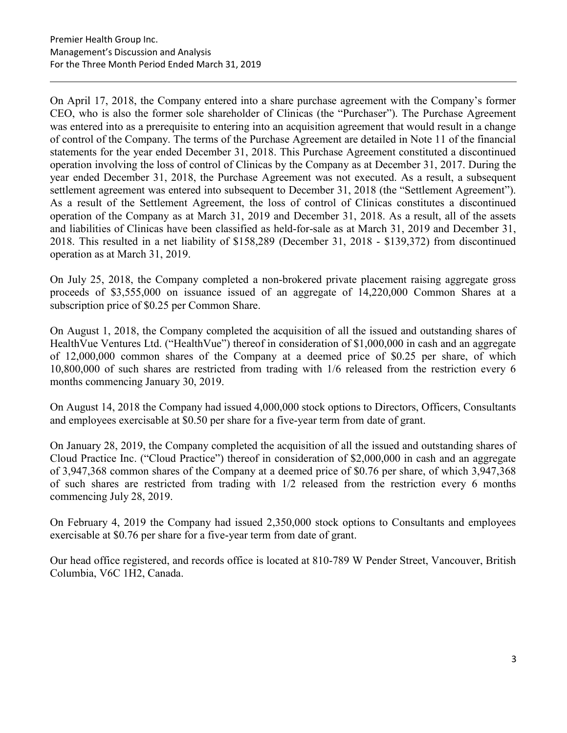On April 17, 2018, the Company entered into a share purchase agreement with the Company's former CEO, who is also the former sole shareholder of Clinicas (the "Purchaser"). The Purchase Agreement was entered into as a prerequisite to entering into an acquisition agreement that would result in a change of control of the Company. The terms of the Purchase Agreement are detailed in Note 11 of the financial statements for the year ended December 31, 2018. This Purchase Agreement constituted a discontinued operation involving the loss of control of Clinicas by the Company as at December 31, 2017. During the year ended December 31, 2018, the Purchase Agreement was not executed. As a result, a subsequent settlement agreement was entered into subsequent to December 31, 2018 (the "Settlement Agreement"). As a result of the Settlement Agreement, the loss of control of Clinicas constitutes a discontinued operation of the Company as at March 31, 2019 and December 31, 2018. As a result, all of the assets and liabilities of Clinicas have been classified as held-for-sale as at March 31, 2019 and December 31, 2018. This resulted in a net liability of \$158,289 (December 31, 2018 - \$139,372) from discontinued operation as at March 31, 2019.

On July 25, 2018, the Company completed a non-brokered private placement raising aggregate gross proceeds of \$3,555,000 on issuance issued of an aggregate of 14,220,000 Common Shares at a subscription price of \$0.25 per Common Share.

On August 1, 2018, the Company completed the acquisition of all the issued and outstanding shares of HealthVue Ventures Ltd. ("HealthVue") thereof in consideration of \$1,000,000 in cash and an aggregate of 12,000,000 common shares of the Company at a deemed price of \$0.25 per share, of which 10,800,000 of such shares are restricted from trading with 1/6 released from the restriction every 6 months commencing January 30, 2019.

On August 14, 2018 the Company had issued 4,000,000 stock options to Directors, Officers, Consultants and employees exercisable at \$0.50 per share for a five-year term from date of grant.

On January 28, 2019, the Company completed the acquisition of all the issued and outstanding shares of Cloud Practice Inc. ("Cloud Practice") thereof in consideration of \$2,000,000 in cash and an aggregate of 3,947,368 common shares of the Company at a deemed price of \$0.76 per share, of which 3,947,368 of such shares are restricted from trading with 1/2 released from the restriction every 6 months commencing July 28, 2019.

On February 4, 2019 the Company had issued 2,350,000 stock options to Consultants and employees exercisable at \$0.76 per share for a five-year term from date of grant.

Our head office registered, and records office is located at 810-789 W Pender Street, Vancouver, British Columbia, V6C 1H2, Canada.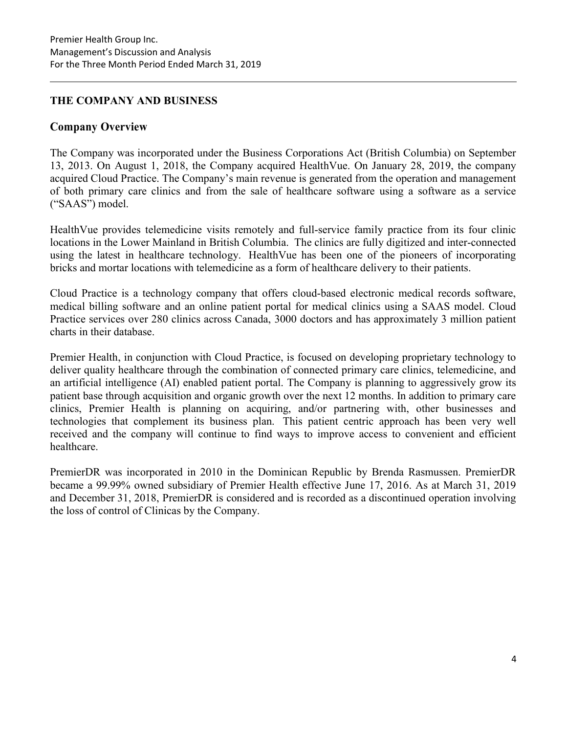# THE COMPANY AND BUSINESS

# Company Overview

The Company was incorporated under the Business Corporations Act (British Columbia) on September 13, 2013. On August 1, 2018, the Company acquired HealthVue. On January 28, 2019, the company acquired Cloud Practice. The Company's main revenue is generated from the operation and management of both primary care clinics and from the sale of healthcare software using a software as a service ("SAAS") model.

HealthVue provides telemedicine visits remotely and full-service family practice from its four clinic locations in the Lower Mainland in British Columbia. The clinics are fully digitized and inter-connected using the latest in healthcare technology. HealthVue has been one of the pioneers of incorporating bricks and mortar locations with telemedicine as a form of healthcare delivery to their patients.

Cloud Practice is a technology company that offers cloud-based electronic medical records software, medical billing software and an online patient portal for medical clinics using a SAAS model. Cloud Practice services over 280 clinics across Canada, 3000 doctors and has approximately 3 million patient charts in their database.

Premier Health, in conjunction with Cloud Practice, is focused on developing proprietary technology to deliver quality healthcare through the combination of connected primary care clinics, telemedicine, and an artificial intelligence (AI) enabled patient portal. The Company is planning to aggressively grow its patient base through acquisition and organic growth over the next 12 months. In addition to primary care clinics, Premier Health is planning on acquiring, and/or partnering with, other businesses and technologies that complement its business plan. This patient centric approach has been very well received and the company will continue to find ways to improve access to convenient and efficient healthcare.

PremierDR was incorporated in 2010 in the Dominican Republic by Brenda Rasmussen. PremierDR became a 99.99% owned subsidiary of Premier Health effective June 17, 2016. As at March 31, 2019 and December 31, 2018, PremierDR is considered and is recorded as a discontinued operation involving the loss of control of Clinicas by the Company.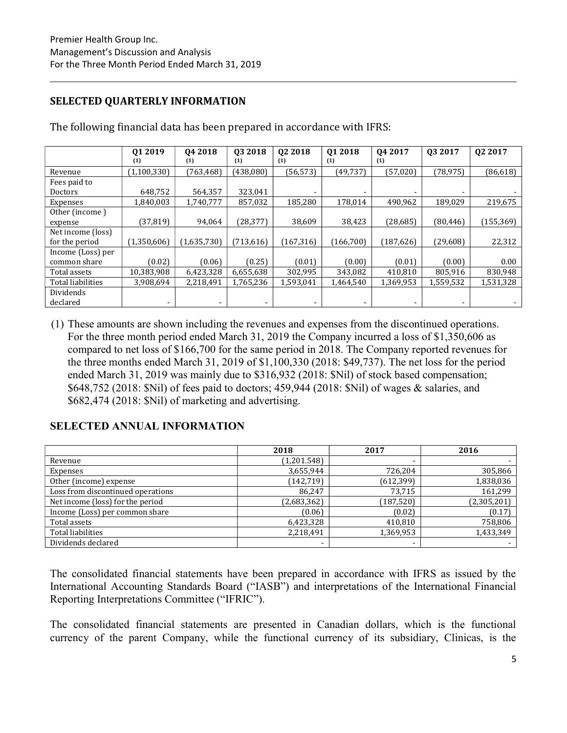# SELECTED QUARTERLY INFORMATION

|                   | Q1 2019       | 04 2018     | 03 2018    | 02 2018    | 01 2018   | 04 2017    | 03 2017   | Q <sub>2</sub> 2017 |
|-------------------|---------------|-------------|------------|------------|-----------|------------|-----------|---------------------|
|                   | (1)           | (1)         | (1)        | (1)        | (1)       | (1)        |           |                     |
| Revenue           | (1, 100, 330) | (763, 468)  | (438,080)  | (56, 573)  | (49, 737) | (57, 020)  | (78, 975) | (86, 618)           |
| Fees paid to      |               |             |            |            |           |            |           |                     |
| <b>Doctors</b>    | 648,752       | 564,357     | 323,041    |            |           |            |           |                     |
| Expenses          | 1,840,003     | 1,740,777   | 857,032    | 185.280    | 178.014   | 490,962    | 189.029   | 219,675             |
| Other (income)    |               |             |            |            |           |            |           |                     |
| expense           | (37, 819)     | 94,064      | (28, 377)  | 38,609     | 38,423    | (28, 685)  | (80, 446) | (155, 369)          |
| Net income (loss) |               |             |            |            |           |            |           |                     |
| for the period    | (1,350,606)   | (1,635,730) | (713, 616) | (167, 316) | (166,700) | (187, 626) | (29,608)  | 22,312              |
| Income (Loss) per |               |             |            |            |           |            |           |                     |
| common share      | (0.02)        | (0.06)      | (0.25)     | (0.01)     | (0.00)    | (0.01)     | (0.00)    | 0.00                |
| Total assets      | 10,383,908    | 6,423,328   | 6,655,638  | 302,995    | 343,082   | 410,810    | 805,916   | 830,948             |
| Total liabilities | 3,908,694     | 2,218,491   | 1,765,236  | 1,593,041  | 1,464,540 | 1,369,953  | 1,559,532 | 1,531,328           |
| Dividends         |               |             |            |            |           |            |           |                     |
| declared          | ۰             | -           |            | ۰.         | ۰         |            | ۰         |                     |

The following financial data has been prepared in accordance with IFRS:

(1) These amounts are shown including the revenues and expenses from the discontinued operations. For the three month period ended March 31, 2019 the Company incurred a loss of \$1,350,606 as compared to net loss of \$166,700 for the same period in 2018. The Company reported revenues for the three months ended March 31, 2019 of \$1,100,330 (2018: \$49,737). The net loss for the period ended March 31, 2019 was mainly due to \$316,932 (2018: \$Nil) of stock based compensation; \$648,752 (2018: \$Nil) of fees paid to doctors; 459,944 (2018: \$Nil) of wages & salaries, and \$682,474 (2018: \$Nil) of marketing and advertising.

# SELECTED ANNUAL INFORMATION

|                                   | 2018        | 2017                     | 2016        |
|-----------------------------------|-------------|--------------------------|-------------|
| Revenue                           | (1,201.548) | $\overline{\phantom{0}}$ |             |
| Expenses                          | 3,655,944   | 726,204                  | 305,866     |
| Other (income) expense            | (142, 719)  | (612, 399)               | 1,838,036   |
| Loss from discontinued operations | 86,247      | 73,715                   | 161,299     |
| Net income (loss) for the period  | (2,683,362) | (187, 520)               | (2,305,201) |
| Income (Loss) per common share    | (0.06)      | (0.02)                   | (0.17)      |
| Total assets                      | 6,423,328   | 410,810                  | 758,806     |
| Total liabilities                 | 2,218,491   | 1,369,953                | 1,433,349   |
| Dividends declared                |             | ۰                        |             |

The consolidated financial statements have been prepared in accordance with IFRS as issued by the International Accounting Standards Board ("IASB") and interpretations of the International Financial Reporting Interpretations Committee ("IFRIC").

The consolidated financial statements are presented in Canadian dollars, which is the functional currency of the parent Company, while the functional currency of its subsidiary, Clinicas, is the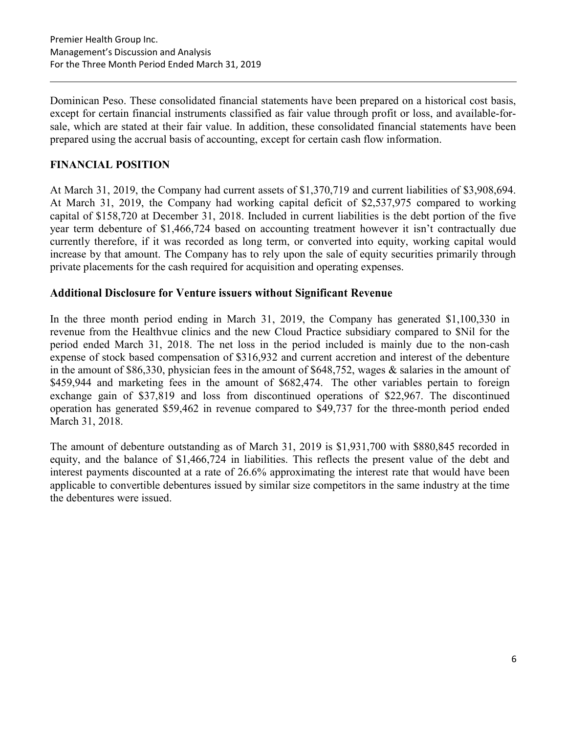Dominican Peso. These consolidated financial statements have been prepared on a historical cost basis, except for certain financial instruments classified as fair value through profit or loss, and available-forsale, which are stated at their fair value. In addition, these consolidated financial statements have been prepared using the accrual basis of accounting, except for certain cash flow information.

# FINANCIAL POSITION

At March 31, 2019, the Company had current assets of \$1,370,719 and current liabilities of \$3,908,694. At March 31, 2019, the Company had working capital deficit of \$2,537,975 compared to working capital of \$158,720 at December 31, 2018. Included in current liabilities is the debt portion of the five year term debenture of \$1,466,724 based on accounting treatment however it isn't contractually due currently therefore, if it was recorded as long term, or converted into equity, working capital would increase by that amount. The Company has to rely upon the sale of equity securities primarily through private placements for the cash required for acquisition and operating expenses.

# Additional Disclosure for Venture issuers without Significant Revenue

In the three month period ending in March 31, 2019, the Company has generated \$1,100,330 in revenue from the Healthvue clinics and the new Cloud Practice subsidiary compared to \$Nil for the period ended March 31, 2018. The net loss in the period included is mainly due to the non-cash expense of stock based compensation of \$316,932 and current accretion and interest of the debenture in the amount of \$86,330, physician fees in the amount of \$648,752, wages & salaries in the amount of \$459,944 and marketing fees in the amount of \$682,474. The other variables pertain to foreign exchange gain of \$37,819 and loss from discontinued operations of \$22,967. The discontinued operation has generated \$59,462 in revenue compared to \$49,737 for the three-month period ended March 31, 2018.

The amount of debenture outstanding as of March 31, 2019 is \$1,931,700 with \$880,845 recorded in equity, and the balance of \$1,466,724 in liabilities. This reflects the present value of the debt and interest payments discounted at a rate of 26.6% approximating the interest rate that would have been applicable to convertible debentures issued by similar size competitors in the same industry at the time the debentures were issued.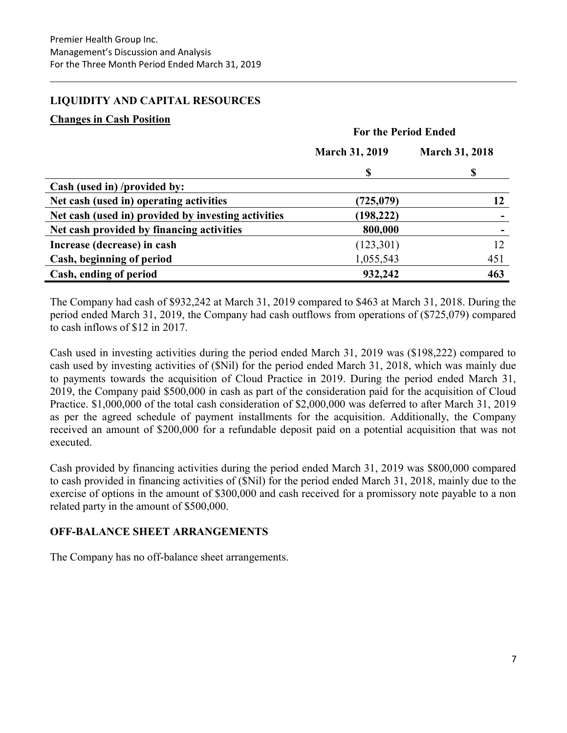# LIQUIDITY AND CAPITAL RESOURCES

#### Changes in Cash Position

|                                                     | <b>For the Period Ended</b> |                       |  |  |
|-----------------------------------------------------|-----------------------------|-----------------------|--|--|
|                                                     | <b>March 31, 2019</b>       | <b>March 31, 2018</b> |  |  |
|                                                     | \$                          | \$                    |  |  |
| Cash (used in) /provided by:                        |                             |                       |  |  |
| Net cash (used in) operating activities             | (725,079)                   | 12                    |  |  |
| Net cash (used in) provided by investing activities | (198, 222)                  |                       |  |  |
| Net cash provided by financing activities           | 800,000                     |                       |  |  |
| Increase (decrease) in cash                         | (123,301)                   | 12                    |  |  |
| Cash, beginning of period                           | 1,055,543                   | 451                   |  |  |
| Cash, ending of period                              | 932,242                     | 463                   |  |  |

The Company had cash of \$932,242 at March 31, 2019 compared to \$463 at March 31, 2018. During the period ended March 31, 2019, the Company had cash outflows from operations of (\$725,079) compared to cash inflows of \$12 in 2017.

Cash used in investing activities during the period ended March 31, 2019 was (\$198,222) compared to cash used by investing activities of (\$Nil) for the period ended March 31, 2018, which was mainly due to payments towards the acquisition of Cloud Practice in 2019. During the period ended March 31, 2019, the Company paid \$500,000 in cash as part of the consideration paid for the acquisition of Cloud Practice. \$1,000,000 of the total cash consideration of \$2,000,000 was deferred to after March 31, 2019 as per the agreed schedule of payment installments for the acquisition. Additionally, the Company received an amount of \$200,000 for a refundable deposit paid on a potential acquisition that was not executed.

Cash provided by financing activities during the period ended March 31, 2019 was \$800,000 compared to cash provided in financing activities of (\$Nil) for the period ended March 31, 2018, mainly due to the exercise of options in the amount of \$300,000 and cash received for a promissory note payable to a non related party in the amount of \$500,000.

# OFF-BALANCE SHEET ARRANGEMENTS

The Company has no off-balance sheet arrangements.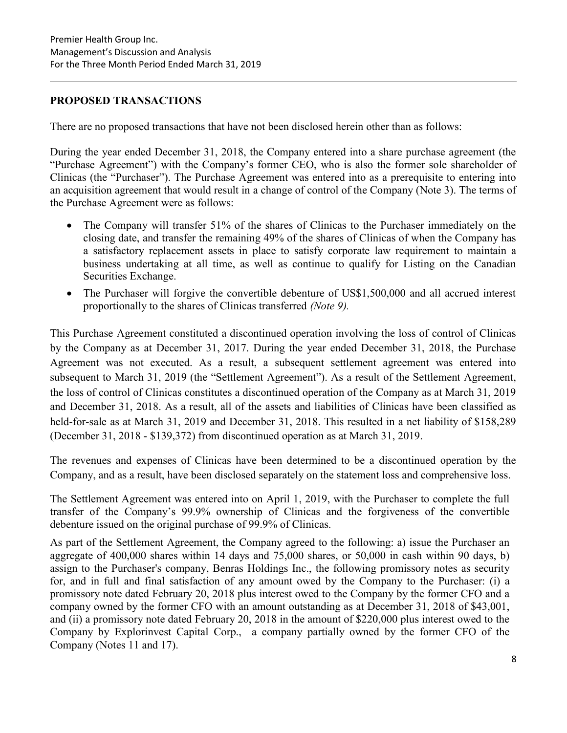# PROPOSED TRANSACTIONS

There are no proposed transactions that have not been disclosed herein other than as follows:

During the year ended December 31, 2018, the Company entered into a share purchase agreement (the "Purchase Agreement") with the Company's former CEO, who is also the former sole shareholder of Clinicas (the "Purchaser"). The Purchase Agreement was entered into as a prerequisite to entering into an acquisition agreement that would result in a change of control of the Company (Note 3). The terms of the Purchase Agreement were as follows:

- The Company will transfer 51% of the shares of Clinicas to the Purchaser immediately on the closing date, and transfer the remaining 49% of the shares of Clinicas of when the Company has a satisfactory replacement assets in place to satisfy corporate law requirement to maintain a business undertaking at all time, as well as continue to qualify for Listing on the Canadian Securities Exchange.
- The Purchaser will forgive the convertible debenture of US\$1,500,000 and all accrued interest proportionally to the shares of Clinicas transferred (Note 9).

This Purchase Agreement constituted a discontinued operation involving the loss of control of Clinicas by the Company as at December 31, 2017. During the year ended December 31, 2018, the Purchase Agreement was not executed. As a result, a subsequent settlement agreement was entered into subsequent to March 31, 2019 (the "Settlement Agreement"). As a result of the Settlement Agreement, the loss of control of Clinicas constitutes a discontinued operation of the Company as at March 31, 2019 and December 31, 2018. As a result, all of the assets and liabilities of Clinicas have been classified as held-for-sale as at March 31, 2019 and December 31, 2018. This resulted in a net liability of \$158,289 (December 31, 2018 - \$139,372) from discontinued operation as at March 31, 2019.

The revenues and expenses of Clinicas have been determined to be a discontinued operation by the Company, and as a result, have been disclosed separately on the statement loss and comprehensive loss.

The Settlement Agreement was entered into on April 1, 2019, with the Purchaser to complete the full transfer of the Company's 99.9% ownership of Clinicas and the forgiveness of the convertible debenture issued on the original purchase of 99.9% of Clinicas.

As part of the Settlement Agreement, the Company agreed to the following: a) issue the Purchaser an aggregate of 400,000 shares within 14 days and 75,000 shares, or 50,000 in cash within 90 days, b) assign to the Purchaser's company, Benras Holdings Inc., the following promissory notes as security for, and in full and final satisfaction of any amount owed by the Company to the Purchaser: (i) a promissory note dated February 20, 2018 plus interest owed to the Company by the former CFO and a company owned by the former CFO with an amount outstanding as at December 31, 2018 of \$43,001, and (ii) a promissory note dated February 20, 2018 in the amount of \$220,000 plus interest owed to the Company by Explorinvest Capital Corp., a company partially owned by the former CFO of the Company (Notes 11 and 17).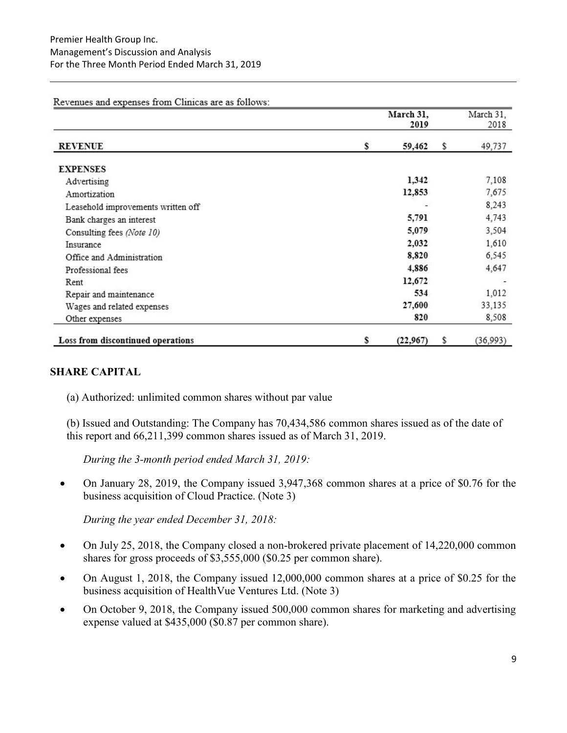March 31. March 31. 2019 2018 **REVENUE** \$ 59,462 \$ 49,737 **EXPENSES** 1,342 7,108 Advertising 12,853 7,675 Amortization 8,243 Leasehold improvements written off 5,791 4,743 Bank charges an interest 5,079 3,504 Consulting fees (Note 10) 2,032 1,610 Insurance 6,545 Office and Administration 8,820 4,886 4,647 Professional fees 12,672 Rent 534 1,012 Repair and maintenance 27,600 33,135 Wages and related expenses 820 8,508 Other expenses Loss from discontinued operations \$  $(22,967)$ \$  $(36,993)$ 

#### Revenues and expenses from Clinicas are as follows:

#### SHARE CAPITAL

(a) Authorized: unlimited common shares without par value

(b) Issued and Outstanding: The Company has 70,434,586 common shares issued as of the date of this report and 66,211,399 common shares issued as of March 31, 2019.

During the 3-month period ended March 31, 2019:

 On January 28, 2019, the Company issued 3,947,368 common shares at a price of \$0.76 for the business acquisition of Cloud Practice. (Note 3)

During the year ended December 31, 2018:

- On July 25, 2018, the Company closed a non-brokered private placement of 14,220,000 common shares for gross proceeds of \$3,555,000 (\$0.25 per common share).
- On August 1, 2018, the Company issued 12,000,000 common shares at a price of \$0.25 for the business acquisition of HealthVue Ventures Ltd. (Note 3)
- On October 9, 2018, the Company issued 500,000 common shares for marketing and advertising expense valued at \$435,000 (\$0.87 per common share).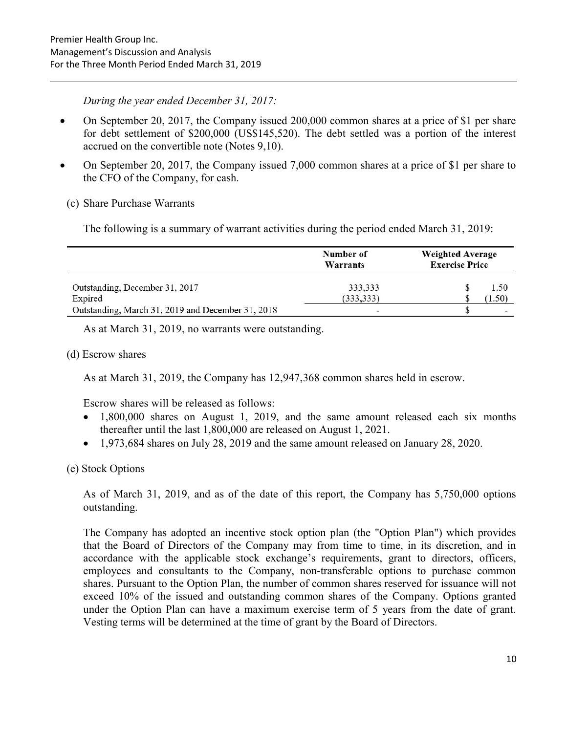During the year ended December 31, 2017:

- On September 20, 2017, the Company issued 200,000 common shares at a price of \$1 per share for debt settlement of \$200,000 (US\$145,520). The debt settled was a portion of the interest accrued on the convertible note (Notes 9,10).
- On September 20, 2017, the Company issued 7,000 common shares at a price of \$1 per share to the CFO of the Company, for cash.
	- (c) Share Purchase Warrants

The following is a summary of warrant activities during the period ended March 31, 2019:

|                                                   | Number of<br>Warrants | <b>Weighted Average</b><br><b>Exercise Price</b> |  |  |
|---------------------------------------------------|-----------------------|--------------------------------------------------|--|--|
| Outstanding, December 31, 2017<br>Expired         | 333,333<br>(333, 333) | 1.50<br>1.50)                                    |  |  |
| Outstanding, March 31, 2019 and December 31, 2018 | -                     | $\overline{\phantom{a}}$                         |  |  |

As at March 31, 2019, no warrants were outstanding.

(d) Escrow shares

As at March 31, 2019, the Company has 12,947,368 common shares held in escrow.

Escrow shares will be released as follows:

- 1,800,000 shares on August 1, 2019, and the same amount released each six months thereafter until the last 1,800,000 are released on August 1, 2021.
- 1,973,684 shares on July 28, 2019 and the same amount released on January 28, 2020.

(e) Stock Options

As of March 31, 2019, and as of the date of this report, the Company has 5,750,000 options outstanding.

The Company has adopted an incentive stock option plan (the "Option Plan") which provides that the Board of Directors of the Company may from time to time, in its discretion, and in accordance with the applicable stock exchange's requirements, grant to directors, officers, employees and consultants to the Company, non-transferable options to purchase common shares. Pursuant to the Option Plan, the number of common shares reserved for issuance will not exceed 10% of the issued and outstanding common shares of the Company. Options granted under the Option Plan can have a maximum exercise term of 5 years from the date of grant. Vesting terms will be determined at the time of grant by the Board of Directors.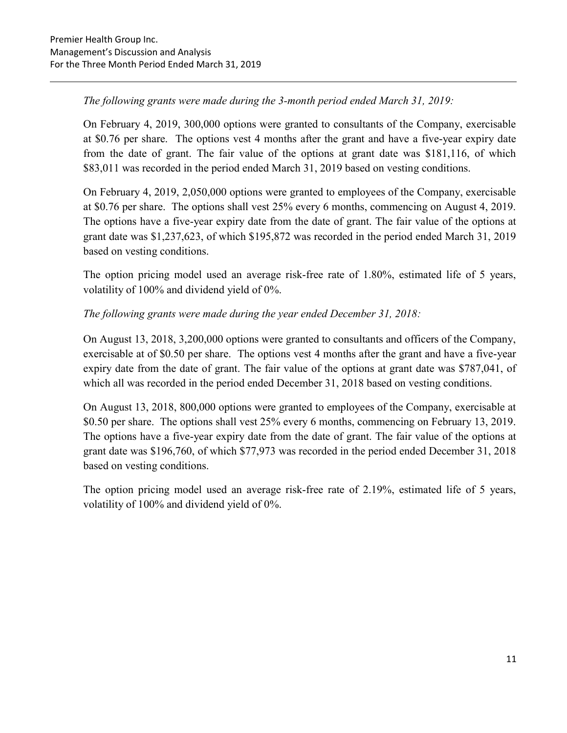# The following grants were made during the 3-month period ended March 31, 2019:

On February 4, 2019, 300,000 options were granted to consultants of the Company, exercisable at \$0.76 per share. The options vest 4 months after the grant and have a five-year expiry date from the date of grant. The fair value of the options at grant date was \$181,116, of which \$83,011 was recorded in the period ended March 31, 2019 based on vesting conditions.

On February 4, 2019, 2,050,000 options were granted to employees of the Company, exercisable at \$0.76 per share. The options shall vest 25% every 6 months, commencing on August 4, 2019. The options have a five-year expiry date from the date of grant. The fair value of the options at grant date was \$1,237,623, of which \$195,872 was recorded in the period ended March 31, 2019 based on vesting conditions.

The option pricing model used an average risk-free rate of 1.80%, estimated life of 5 years, volatility of 100% and dividend yield of 0%.

# The following grants were made during the year ended December 31, 2018:

On August 13, 2018, 3,200,000 options were granted to consultants and officers of the Company, exercisable at of \$0.50 per share. The options vest 4 months after the grant and have a five-year expiry date from the date of grant. The fair value of the options at grant date was \$787,041, of which all was recorded in the period ended December 31, 2018 based on vesting conditions.

On August 13, 2018, 800,000 options were granted to employees of the Company, exercisable at \$0.50 per share. The options shall vest 25% every 6 months, commencing on February 13, 2019. The options have a five-year expiry date from the date of grant. The fair value of the options at grant date was \$196,760, of which \$77,973 was recorded in the period ended December 31, 2018 based on vesting conditions.

The option pricing model used an average risk-free rate of 2.19%, estimated life of 5 years, volatility of 100% and dividend yield of 0%.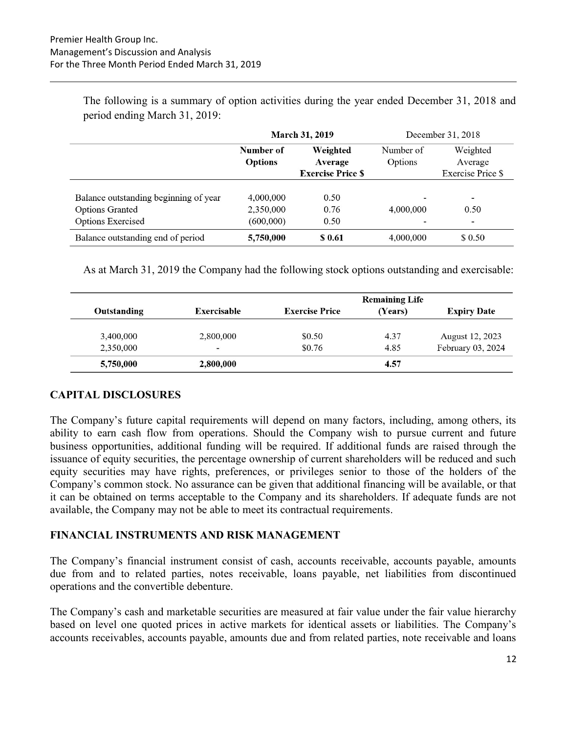The following is a summary of option activities during the year ended December 31, 2018 and period ending March 31, 2019:

|                                       |                                                       | <b>March 31, 2019</b> | December 31, 2018 |                          |  |  |
|---------------------------------------|-------------------------------------------------------|-----------------------|-------------------|--------------------------|--|--|
|                                       | Number of                                             | Weighted              | Number of         | Weighted                 |  |  |
|                                       | <b>Options</b><br>Average<br><b>Exercise Price \$</b> |                       | Options           | Average                  |  |  |
|                                       |                                                       |                       |                   | <b>Exercise Price \$</b> |  |  |
|                                       |                                                       |                       |                   |                          |  |  |
| Balance outstanding beginning of year | 4,000,000                                             | 0.50                  |                   | ۰                        |  |  |
| <b>Options Granted</b>                | 2,350,000                                             | 0.76                  | 4,000,000         | 0.50                     |  |  |
| <b>Options Exercised</b>              | (600,000)                                             | 0.50                  |                   | $\overline{\phantom{0}}$ |  |  |
| Balance outstanding end of period     | 5,750,000                                             | \$ 0.61               | 4,000,000         | \$ 0.50                  |  |  |

As at March 31, 2019 the Company had the following stock options outstanding and exercisable:

|             |                          |                       | <b>Remaining Life</b> |                    |
|-------------|--------------------------|-----------------------|-----------------------|--------------------|
| Outstanding | Exercisable              | <b>Exercise Price</b> | (Years)               | <b>Expiry Date</b> |
| 3,400,000   | 2,800,000                | \$0.50                | 4.37                  | August 12, 2023    |
| 2,350,000   | $\overline{\phantom{a}}$ | \$0.76                | 4.85                  | February 03, 2024  |
| 5,750,000   | 2,800,000                |                       | 4.57                  |                    |

#### CAPITAL DISCLOSURES

The Company's future capital requirements will depend on many factors, including, among others, its ability to earn cash flow from operations. Should the Company wish to pursue current and future business opportunities, additional funding will be required. If additional funds are raised through the issuance of equity securities, the percentage ownership of current shareholders will be reduced and such equity securities may have rights, preferences, or privileges senior to those of the holders of the Company's common stock. No assurance can be given that additional financing will be available, or that it can be obtained on terms acceptable to the Company and its shareholders. If adequate funds are not available, the Company may not be able to meet its contractual requirements.

#### FINANCIAL INSTRUMENTS AND RISK MANAGEMENT

The Company's financial instrument consist of cash, accounts receivable, accounts payable, amounts due from and to related parties, notes receivable, loans payable, net liabilities from discontinued operations and the convertible debenture.

The Company's cash and marketable securities are measured at fair value under the fair value hierarchy based on level one quoted prices in active markets for identical assets or liabilities. The Company's accounts receivables, accounts payable, amounts due and from related parties, note receivable and loans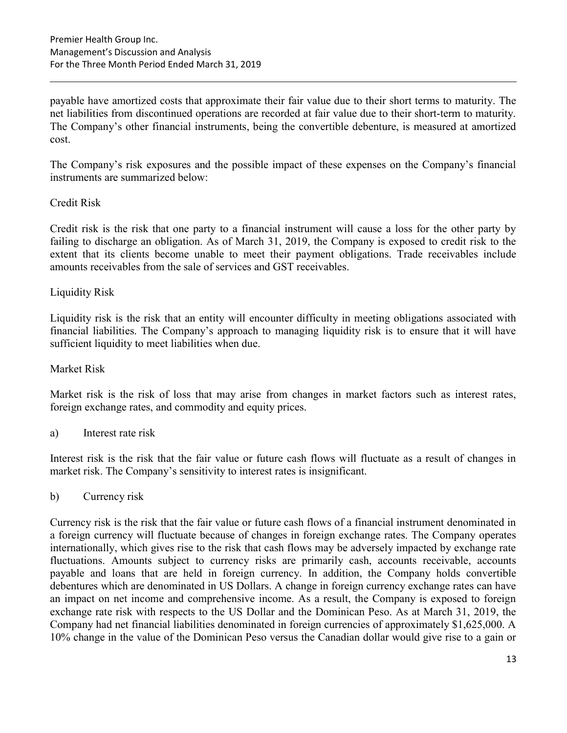payable have amortized costs that approximate their fair value due to their short terms to maturity. The net liabilities from discontinued operations are recorded at fair value due to their short-term to maturity. The Company's other financial instruments, being the convertible debenture, is measured at amortized cost.

The Company's risk exposures and the possible impact of these expenses on the Company's financial instruments are summarized below:

#### Credit Risk

Credit risk is the risk that one party to a financial instrument will cause a loss for the other party by failing to discharge an obligation. As of March 31, 2019, the Company is exposed to credit risk to the extent that its clients become unable to meet their payment obligations. Trade receivables include amounts receivables from the sale of services and GST receivables.

#### Liquidity Risk

Liquidity risk is the risk that an entity will encounter difficulty in meeting obligations associated with financial liabilities. The Company's approach to managing liquidity risk is to ensure that it will have sufficient liquidity to meet liabilities when due.

#### Market Risk

Market risk is the risk of loss that may arise from changes in market factors such as interest rates, foreign exchange rates, and commodity and equity prices.

#### a) Interest rate risk

Interest risk is the risk that the fair value or future cash flows will fluctuate as a result of changes in market risk. The Company's sensitivity to interest rates is insignificant.

#### b) Currency risk

Currency risk is the risk that the fair value or future cash flows of a financial instrument denominated in a foreign currency will fluctuate because of changes in foreign exchange rates. The Company operates internationally, which gives rise to the risk that cash flows may be adversely impacted by exchange rate fluctuations. Amounts subject to currency risks are primarily cash, accounts receivable, accounts payable and loans that are held in foreign currency. In addition, the Company holds convertible debentures which are denominated in US Dollars. A change in foreign currency exchange rates can have an impact on net income and comprehensive income. As a result, the Company is exposed to foreign exchange rate risk with respects to the US Dollar and the Dominican Peso. As at March 31, 2019, the Company had net financial liabilities denominated in foreign currencies of approximately \$1,625,000. A 10% change in the value of the Dominican Peso versus the Canadian dollar would give rise to a gain or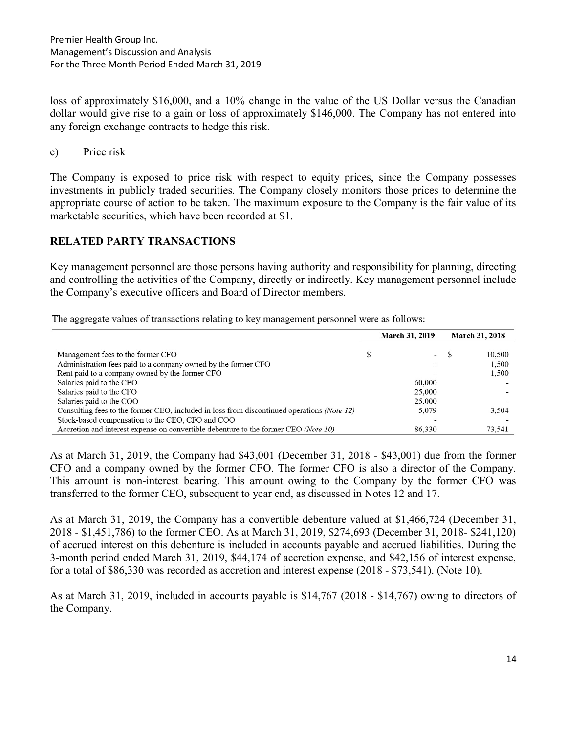loss of approximately \$16,000, and a 10% change in the value of the US Dollar versus the Canadian dollar would give rise to a gain or loss of approximately \$146,000. The Company has not entered into any foreign exchange contracts to hedge this risk.

c) Price risk

The Company is exposed to price risk with respect to equity prices, since the Company possesses investments in publicly traded securities. The Company closely monitors those prices to determine the appropriate course of action to be taken. The maximum exposure to the Company is the fair value of its marketable securities, which have been recorded at \$1.

#### RELATED PARTY TRANSACTIONS

Key management personnel are those persons having authority and responsibility for planning, directing and controlling the activities of the Company, directly or indirectly. Key management personnel include the Company's executive officers and Board of Director members.

The aggregate values of transactions relating to key management personnel were as follows:

|                                                                                            | <b>March 31, 2019</b>    |  | <b>March 31, 2018</b> |  |
|--------------------------------------------------------------------------------------------|--------------------------|--|-----------------------|--|
|                                                                                            |                          |  |                       |  |
| Management fees to the former CFO                                                          | $\overline{\phantom{a}}$ |  | 10.500                |  |
| Administration fees paid to a company owned by the former CFO                              |                          |  | 1,500                 |  |
| Rent paid to a company owned by the former CFO                                             |                          |  | 1,500                 |  |
| Salaries paid to the CEO                                                                   | 60,000                   |  |                       |  |
| Salaries paid to the CFO                                                                   | 25,000                   |  |                       |  |
| Salaries paid to the COO                                                                   | 25,000                   |  |                       |  |
| Consulting fees to the former CEO, included in loss from discontinued operations (Note 12) | 5.079                    |  | 3.504                 |  |
| Stock-based compensation to the CEO, CFO and COO                                           |                          |  |                       |  |
| Accretion and interest expense on convertible debenture to the former CEO (Note 10)        | 86,330                   |  | 73.541                |  |

As at March 31, 2019, the Company had \$43,001 (December 31, 2018 - \$43,001) due from the former CFO and a company owned by the former CFO. The former CFO is also a director of the Company. This amount is non-interest bearing. This amount owing to the Company by the former CFO was transferred to the former CEO, subsequent to year end, as discussed in Notes 12 and 17.

As at March 31, 2019, the Company has a convertible debenture valued at \$1,466,724 (December 31, 2018 - \$1,451,786) to the former CEO. As at March 31, 2019, \$274,693 (December 31, 2018- \$241,120) of accrued interest on this debenture is included in accounts payable and accrued liabilities. During the 3-month period ended March 31, 2019, \$44,174 of accretion expense, and \$42,156 of interest expense, for a total of \$86,330 was recorded as accretion and interest expense (2018 - \$73,541). (Note 10).

As at March 31, 2019, included in accounts payable is \$14,767 (2018 - \$14,767) owing to directors of the Company.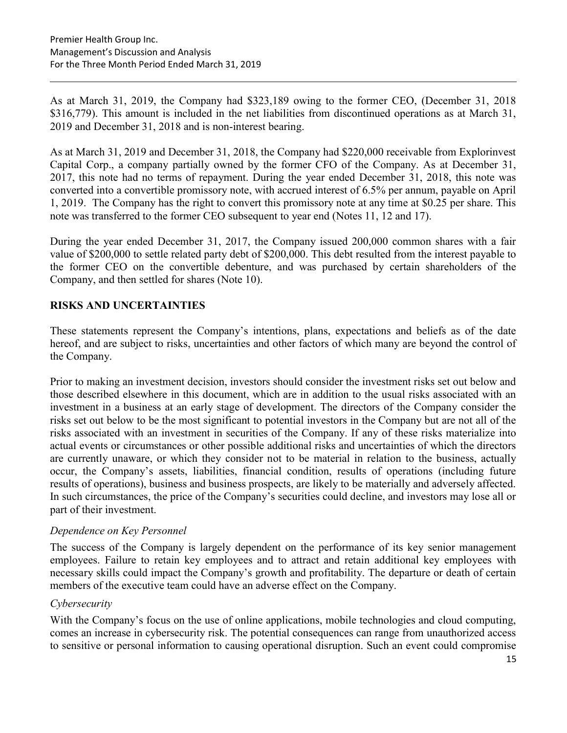As at March 31, 2019, the Company had \$323,189 owing to the former CEO, (December 31, 2018 \$316,779). This amount is included in the net liabilities from discontinued operations as at March 31, 2019 and December 31, 2018 and is non-interest bearing.

As at March 31, 2019 and December 31, 2018, the Company had \$220,000 receivable from Explorinvest Capital Corp., a company partially owned by the former CFO of the Company. As at December 31, 2017, this note had no terms of repayment. During the year ended December 31, 2018, this note was converted into a convertible promissory note, with accrued interest of 6.5% per annum, payable on April 1, 2019. The Company has the right to convert this promissory note at any time at \$0.25 per share. This note was transferred to the former CEO subsequent to year end (Notes 11, 12 and 17).

During the year ended December 31, 2017, the Company issued 200,000 common shares with a fair value of \$200,000 to settle related party debt of \$200,000. This debt resulted from the interest payable to the former CEO on the convertible debenture, and was purchased by certain shareholders of the Company, and then settled for shares (Note 10).

# RISKS AND UNCERTAINTIES

These statements represent the Company's intentions, plans, expectations and beliefs as of the date hereof, and are subject to risks, uncertainties and other factors of which many are beyond the control of the Company.

Prior to making an investment decision, investors should consider the investment risks set out below and those described elsewhere in this document, which are in addition to the usual risks associated with an investment in a business at an early stage of development. The directors of the Company consider the risks set out below to be the most significant to potential investors in the Company but are not all of the risks associated with an investment in securities of the Company. If any of these risks materialize into actual events or circumstances or other possible additional risks and uncertainties of which the directors are currently unaware, or which they consider not to be material in relation to the business, actually occur, the Company's assets, liabilities, financial condition, results of operations (including future results of operations), business and business prospects, are likely to be materially and adversely affected. In such circumstances, the price of the Company's securities could decline, and investors may lose all or part of their investment.

#### Dependence on Key Personnel

The success of the Company is largely dependent on the performance of its key senior management employees. Failure to retain key employees and to attract and retain additional key employees with necessary skills could impact the Company's growth and profitability. The departure or death of certain members of the executive team could have an adverse effect on the Company.

#### **Cybersecurity**

With the Company's focus on the use of online applications, mobile technologies and cloud computing, comes an increase in cybersecurity risk. The potential consequences can range from unauthorized access to sensitive or personal information to causing operational disruption. Such an event could compromise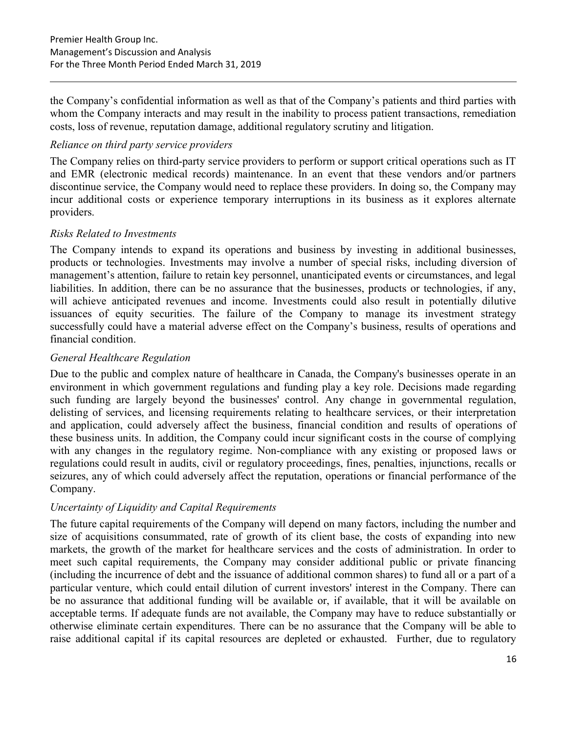the Company's confidential information as well as that of the Company's patients and third parties with whom the Company interacts and may result in the inability to process patient transactions, remediation costs, loss of revenue, reputation damage, additional regulatory scrutiny and litigation.

## Reliance on third party service providers

The Company relies on third-party service providers to perform or support critical operations such as IT and EMR (electronic medical records) maintenance. In an event that these vendors and/or partners discontinue service, the Company would need to replace these providers. In doing so, the Company may incur additional costs or experience temporary interruptions in its business as it explores alternate providers.

#### Risks Related to Investments

The Company intends to expand its operations and business by investing in additional businesses, products or technologies. Investments may involve a number of special risks, including diversion of management's attention, failure to retain key personnel, unanticipated events or circumstances, and legal liabilities. In addition, there can be no assurance that the businesses, products or technologies, if any, will achieve anticipated revenues and income. Investments could also result in potentially dilutive issuances of equity securities. The failure of the Company to manage its investment strategy successfully could have a material adverse effect on the Company's business, results of operations and financial condition.

#### General Healthcare Regulation

Due to the public and complex nature of healthcare in Canada, the Company's businesses operate in an environment in which government regulations and funding play a key role. Decisions made regarding such funding are largely beyond the businesses' control. Any change in governmental regulation, delisting of services, and licensing requirements relating to healthcare services, or their interpretation and application, could adversely affect the business, financial condition and results of operations of these business units. In addition, the Company could incur significant costs in the course of complying with any changes in the regulatory regime. Non-compliance with any existing or proposed laws or regulations could result in audits, civil or regulatory proceedings, fines, penalties, injunctions, recalls or seizures, any of which could adversely affect the reputation, operations or financial performance of the Company.

# Uncertainty of Liquidity and Capital Requirements

The future capital requirements of the Company will depend on many factors, including the number and size of acquisitions consummated, rate of growth of its client base, the costs of expanding into new markets, the growth of the market for healthcare services and the costs of administration. In order to meet such capital requirements, the Company may consider additional public or private financing (including the incurrence of debt and the issuance of additional common shares) to fund all or a part of a particular venture, which could entail dilution of current investors' interest in the Company. There can be no assurance that additional funding will be available or, if available, that it will be available on acceptable terms. If adequate funds are not available, the Company may have to reduce substantially or otherwise eliminate certain expenditures. There can be no assurance that the Company will be able to raise additional capital if its capital resources are depleted or exhausted. Further, due to regulatory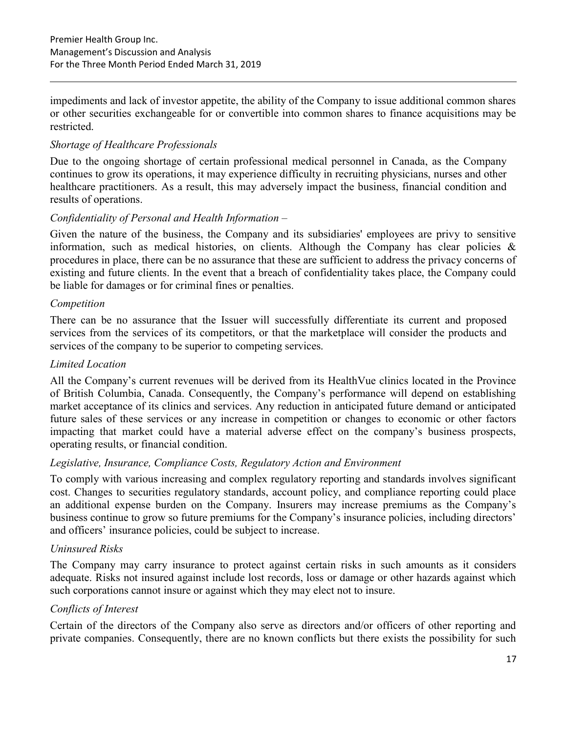impediments and lack of investor appetite, the ability of the Company to issue additional common shares or other securities exchangeable for or convertible into common shares to finance acquisitions may be restricted.

#### Shortage of Healthcare Professionals

Due to the ongoing shortage of certain professional medical personnel in Canada, as the Company continues to grow its operations, it may experience difficulty in recruiting physicians, nurses and other healthcare practitioners. As a result, this may adversely impact the business, financial condition and results of operations.

#### Confidentiality of Personal and Health Information –

Given the nature of the business, the Company and its subsidiaries' employees are privy to sensitive information, such as medical histories, on clients. Although the Company has clear policies  $\&$ procedures in place, there can be no assurance that these are sufficient to address the privacy concerns of existing and future clients. In the event that a breach of confidentiality takes place, the Company could be liable for damages or for criminal fines or penalties.

#### Competition

There can be no assurance that the Issuer will successfully differentiate its current and proposed services from the services of its competitors, or that the marketplace will consider the products and services of the company to be superior to competing services.

#### Limited Location

All the Company's current revenues will be derived from its HealthVue clinics located in the Province of British Columbia, Canada. Consequently, the Company's performance will depend on establishing market acceptance of its clinics and services. Any reduction in anticipated future demand or anticipated future sales of these services or any increase in competition or changes to economic or other factors impacting that market could have a material adverse effect on the company's business prospects, operating results, or financial condition.

#### Legislative, Insurance, Compliance Costs, Regulatory Action and Environment

To comply with various increasing and complex regulatory reporting and standards involves significant cost. Changes to securities regulatory standards, account policy, and compliance reporting could place an additional expense burden on the Company. Insurers may increase premiums as the Company's business continue to grow so future premiums for the Company's insurance policies, including directors' and officers' insurance policies, could be subject to increase.

#### Uninsured Risks

The Company may carry insurance to protect against certain risks in such amounts as it considers adequate. Risks not insured against include lost records, loss or damage or other hazards against which such corporations cannot insure or against which they may elect not to insure.

#### Conflicts of Interest

Certain of the directors of the Company also serve as directors and/or officers of other reporting and private companies. Consequently, there are no known conflicts but there exists the possibility for such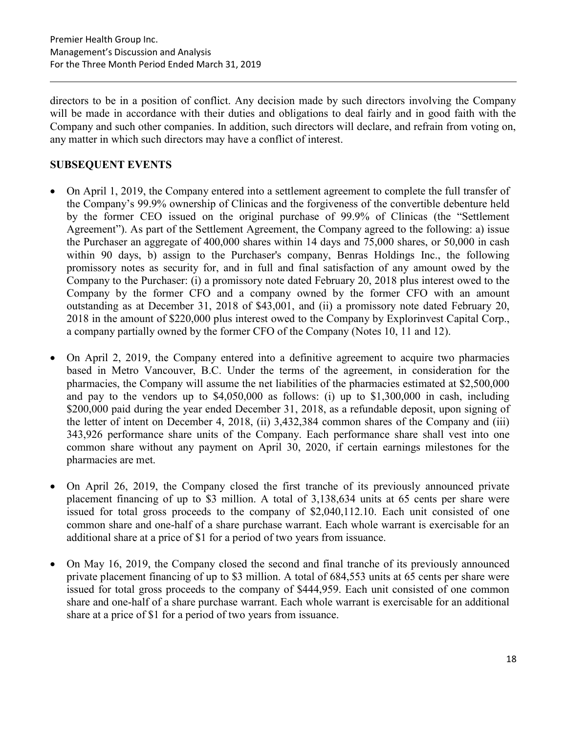directors to be in a position of conflict. Any decision made by such directors involving the Company will be made in accordance with their duties and obligations to deal fairly and in good faith with the Company and such other companies. In addition, such directors will declare, and refrain from voting on, any matter in which such directors may have a conflict of interest.

# SUBSEQUENT EVENTS

- On April 1, 2019, the Company entered into a settlement agreement to complete the full transfer of the Company's 99.9% ownership of Clinicas and the forgiveness of the convertible debenture held by the former CEO issued on the original purchase of 99.9% of Clinicas (the "Settlement Agreement"). As part of the Settlement Agreement, the Company agreed to the following: a) issue the Purchaser an aggregate of 400,000 shares within 14 days and 75,000 shares, or 50,000 in cash within 90 days, b) assign to the Purchaser's company, Benras Holdings Inc., the following promissory notes as security for, and in full and final satisfaction of any amount owed by the Company to the Purchaser: (i) a promissory note dated February 20, 2018 plus interest owed to the Company by the former CFO and a company owned by the former CFO with an amount outstanding as at December 31, 2018 of \$43,001, and (ii) a promissory note dated February 20, 2018 in the amount of \$220,000 plus interest owed to the Company by Explorinvest Capital Corp., a company partially owned by the former CFO of the Company (Notes 10, 11 and 12).
- On April 2, 2019, the Company entered into a definitive agreement to acquire two pharmacies based in Metro Vancouver, B.C. Under the terms of the agreement, in consideration for the pharmacies, the Company will assume the net liabilities of the pharmacies estimated at \$2,500,000 and pay to the vendors up to \$4,050,000 as follows: (i) up to \$1,300,000 in cash, including \$200,000 paid during the year ended December 31, 2018, as a refundable deposit, upon signing of the letter of intent on December 4, 2018, (ii) 3,432,384 common shares of the Company and (iii) 343,926 performance share units of the Company. Each performance share shall vest into one common share without any payment on April 30, 2020, if certain earnings milestones for the pharmacies are met.
- On April 26, 2019, the Company closed the first tranche of its previously announced private placement financing of up to \$3 million. A total of 3,138,634 units at 65 cents per share were issued for total gross proceeds to the company of \$2,040,112.10. Each unit consisted of one common share and one-half of a share purchase warrant. Each whole warrant is exercisable for an additional share at a price of \$1 for a period of two years from issuance.
- On May 16, 2019, the Company closed the second and final tranche of its previously announced private placement financing of up to \$3 million. A total of 684,553 units at 65 cents per share were issued for total gross proceeds to the company of \$444,959. Each unit consisted of one common share and one-half of a share purchase warrant. Each whole warrant is exercisable for an additional share at a price of \$1 for a period of two years from issuance.